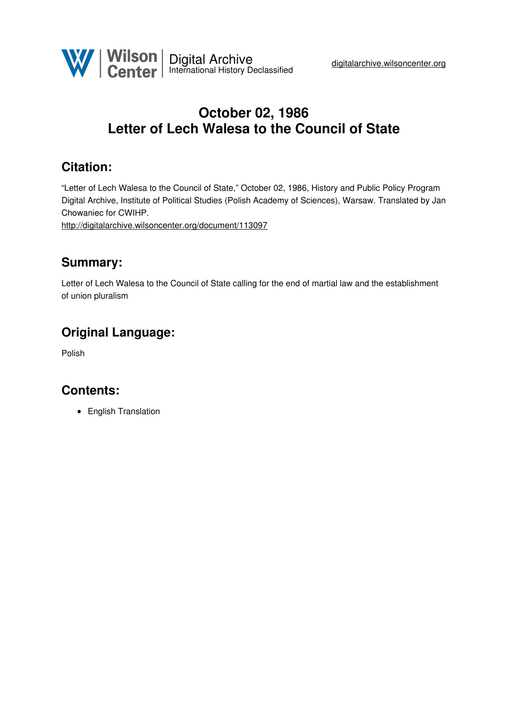

# **October 02, 1986 Letter of Lech Walesa to the Council of State**

## **Citation:**

"Letter of Lech Walesa to the Council of State," October 02, 1986, History and Public Policy Program Digital Archive, Institute of Political Studies (Polish Academy of Sciences), Warsaw. Translated by Jan Chowaniec for CWIHP.

<http://digitalarchive.wilsoncenter.org/document/113097>

#### **Summary:**

Letter of Lech Walesa to the Council of State calling for the end of martial law and the establishment of union pluralism

### **Original Language:**

Polish

### **Contents:**

• English Translation